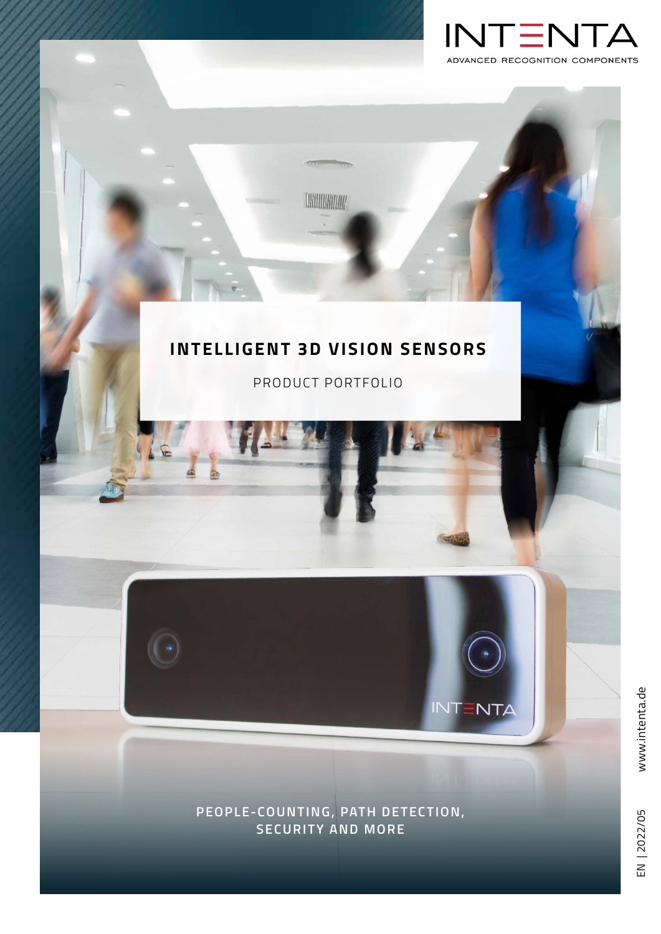

# **INTELLIGENT 3D VISION SENSORS**

PRODUCT PORTFOLIO

PEOPLE-COUNTING, PATH DETECTION, **SECURITY AND MORE**

**INTENTA**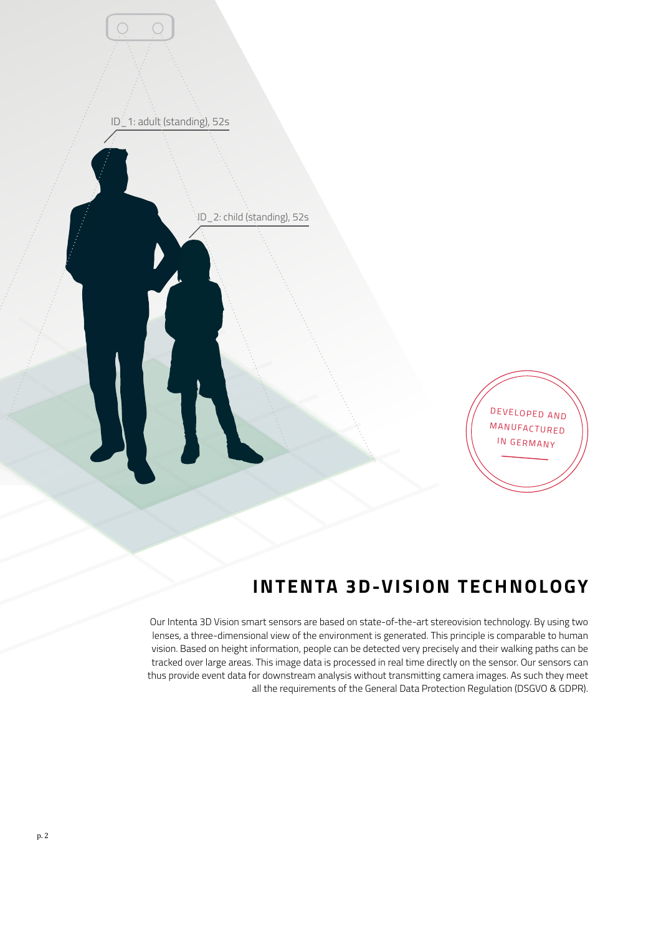

ID\_2: child (standing), 52s



# **INTENTA 3D-VISION TECHNOLOGY**

Our Intenta 3D Vision smart sensors are based on state-of-the-art stereovision technology. By using two lenses, a three-dimensional view of the environment is generated. This principle is comparable to human vision. Based on height information, people can be detected very precisely and their walking paths can be tracked over large areas. This image data is processed in real time directly on the sensor. Our sensors can thus provide event data for downstream analysis without transmitting camera images. As such they meet all the requirements of the General Data Protection Regulation (DSGVO & GDPR).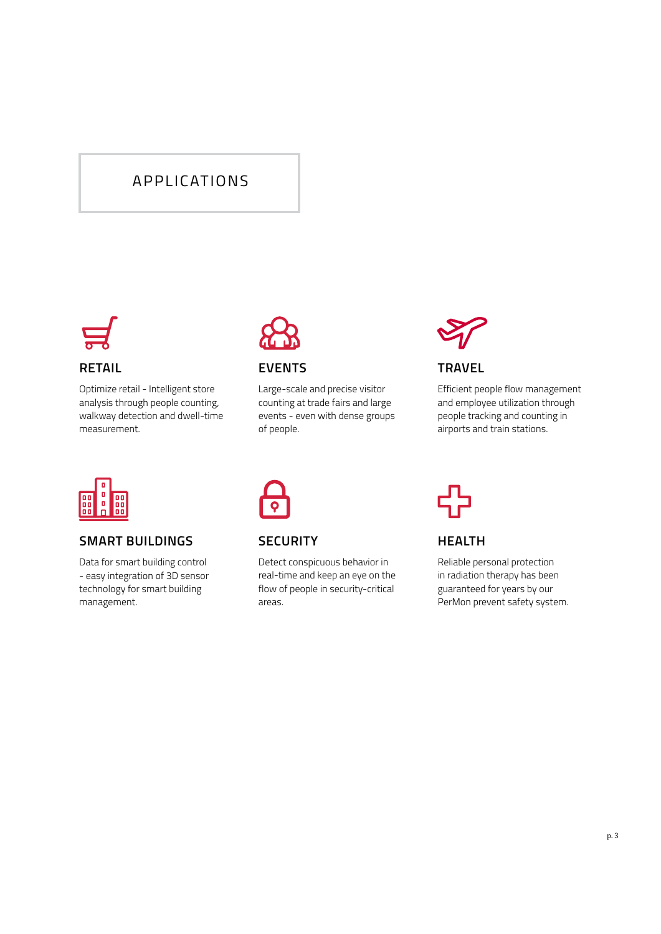## APPLICATIONS



## **RETAIL**

Optimize retail - Intelligent store analysis through people counting, walkway detection and dwell-time measurement.



## **SMART BUILDINGS**

Data for smart building control - easy integration of 3D sensor technology for smart building management.



## **EVENTS**

Large-scale and precise visitor counting at trade fairs and large events - even with dense groups of people.



#### **TRAVEL**

Efficient people flow management and employee utilization through people tracking and counting in airports and train stations.



## **SECURITY**

Detect conspicuous behavior in real-time and keep an eye on the flow of people in security-critical areas.



## **HEALTH**

Reliable personal protection in radiation therapy has been guaranteed for years by our PerMon prevent safety system.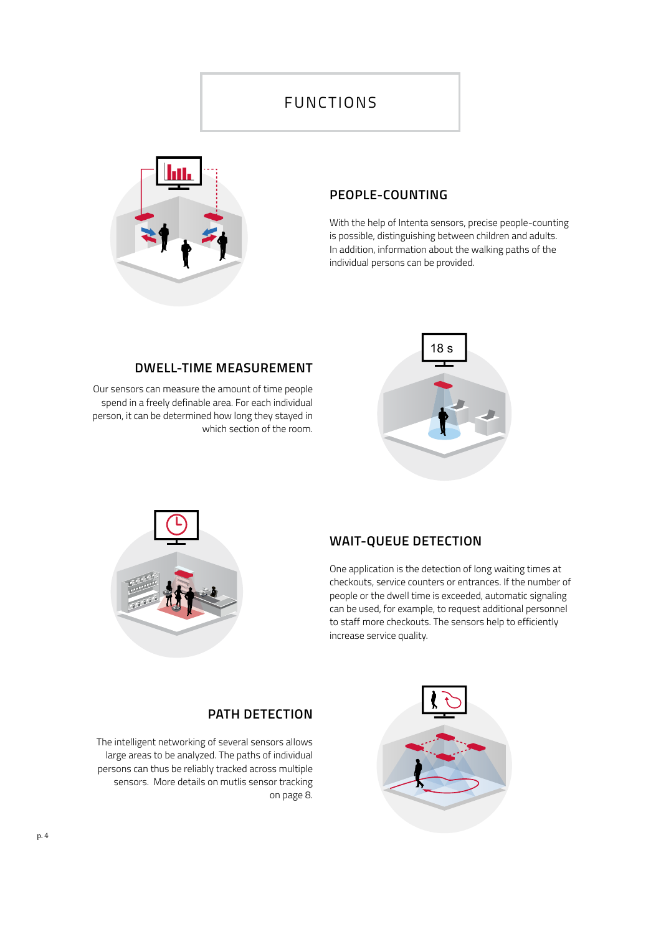## FUNCTIONS



## **PEOPLE-COUNTING**

With the help of Intenta sensors, precise people-counting is possible, distinguishing between children and adults. In addition, information about the walking paths of the individual persons can be provided.



#### **DWELL-TIME MEASUREMENT**

Our sensors can measure the amount of time people spend in a freely definable area. For each individual person, it can be determined how long they stayed in which section of the room.



## **WAIT-QUEUE DETECTION**

One application is the detection of long waiting times at checkouts, service counters or entrances. If the number of people or the dwell time is exceeded, automatic signaling can be used, for example, to request additional personnel to staff more checkouts. The sensors help to efficiently increase service quality.



## **PATH DETECTION**

The intelligent networking of several sensors allows large areas to be analyzed. The paths of individual persons can thus be reliably tracked across multiple sensors. More details on mutlis sensor tracking on page 8.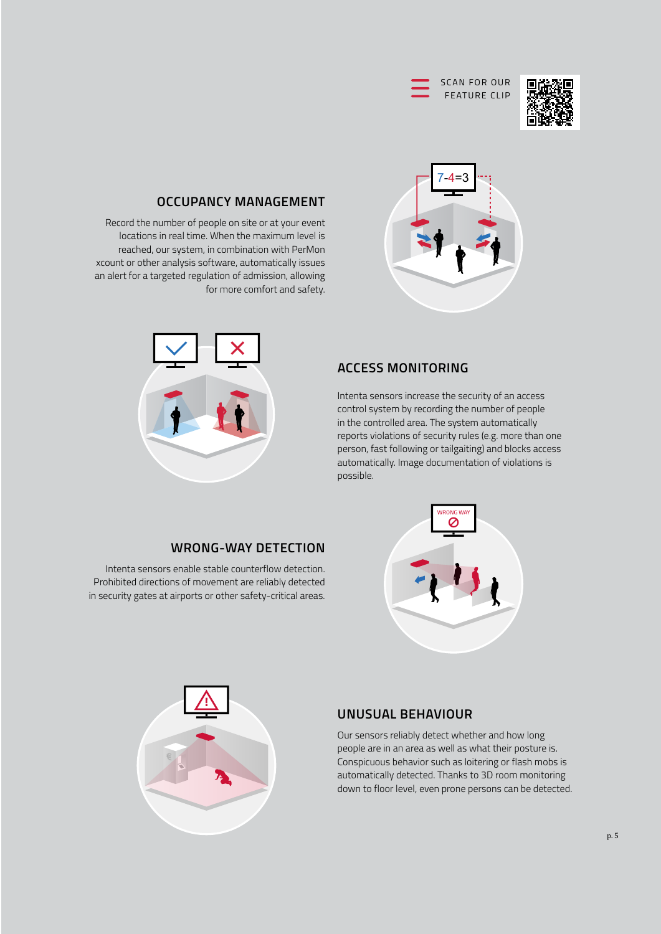

SCAN FOR OUR FEATURE CLIP

7-4=3

## **OCCUPANCY MANAGEMENT**

Record the number of people on site or at your event locations in real time. When the maximum level is reached, our system, in combination with PerMon xcount or other analysis software, automatically issues an alert for a targeted regulation of admission, allowing for more comfort and safety.



## **ACCESS MONITORING**

Intenta sensors increase the security of an access control system by recording the number of people in the controlled area. The system automatically reports violations of security rules (e.g. more than one person, fast following or tailgaiting) and blocks access automatically. Image documentation of violations is possible.



#### **WRONG-WAY DETECTION**

Intenta sensors enable stable counterflow detection. Prohibited directions of movement are reliably detected in security gates at airports or other safety-critical areas.



## **UNUSUAL BEHAVIOUR**

Our sensors reliably detect whether and how long people are in an area as well as what their posture is. Conspicuous behavior such as loitering or flash mobs is automatically detected. Thanks to 3D room monitoring down to floor level, even prone persons can be detected.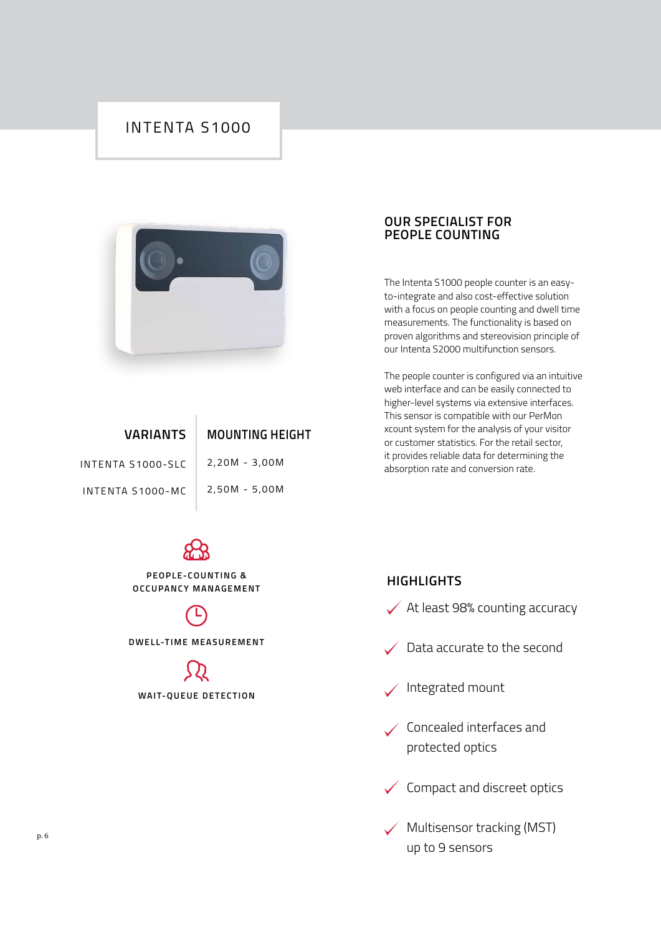## INTENTA S1000



## **VARIANTS**

INTENTA S1000-SLC

INTENTA S1000-MC



**MOUNTING HEIGHT**

2,20M - 3,00M

2,50M - 5,00M

**HIGHLIGHTS PEOPLE-COUNTING & OCCUPANCY MANAGEMENT**



**DWELL-TIME MEASUREMENT**

**WAIT-QUEUE DETECTION**

#### **OUR SPECIALIST FOR PEOPLE COUNTING**

The Intenta S1000 people counter is an easyto-integrate and also cost-effective solution with a focus on people counting and dwell time measurements. The functionality is based on proven algorithms and stereovision principle of our Intenta S2000 multifunction sensors.

The people counter is configured via an intuitive web interface and can be easily connected to higher-level systems via extensive interfaces. This sensor is compatible with our PerMon xcount system for the analysis of your visitor or customer statistics. For the retail sector, it provides reliable data for determining the absorption rate and conversion rate.

# $\sqrt{\phantom{a}}$  At least 98% counting accuracy Data accurate to the second Integrated mount Concealed interfaces and protected optics  $\checkmark$  Compact and discreet optics  $\sqrt{ }$  Multisensor tracking (MST)

up to 9 sensors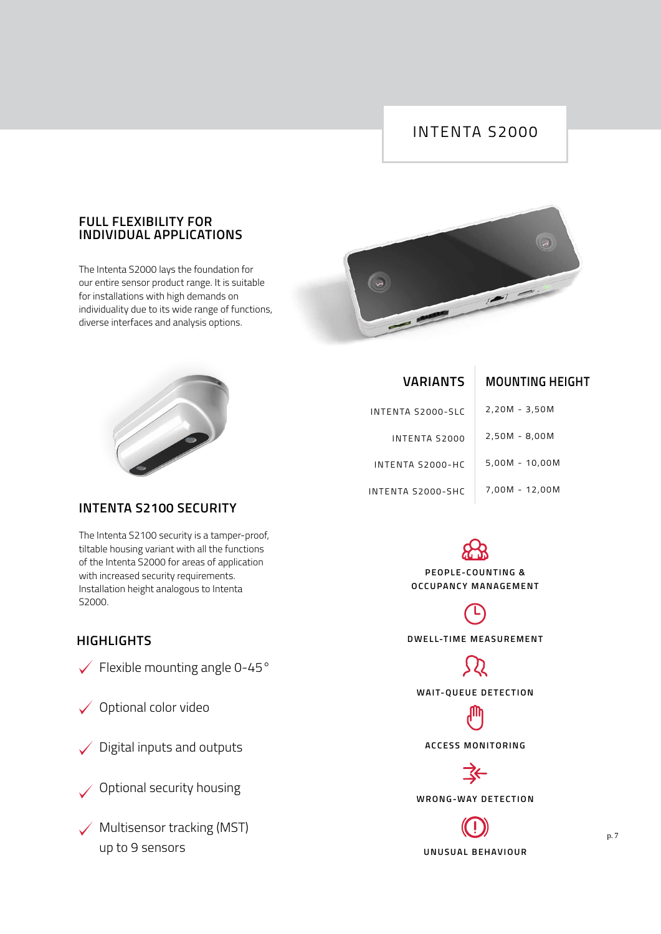## INTENTA S2000

#### **FULL FLEXIBILITY FOR INDIVIDUAL APPLICATIONS**

The Intenta S2000 lays the foundation for our entire sensor product range. It is suitable for installations with high demands on individuality due to its wide range of functions, diverse interfaces and analysis options.





#### **INTENTA S2100 SECURITY**

The Intenta S2100 security is a tamper-proof, tiltable housing variant with all the functions of the Intenta S2000 for areas of application with increased security requirements. Installation height analogous to Intenta S2000.

#### **HIGHLIGHTS**

- $\checkmark$  Flexible mounting angle 0-45°
- $\checkmark$  Optional color video
- $\sqrt{\phantom{a}}$  Digital inputs and outputs
- Optional security housing
- $\sqrt{N}$ ultisensor tracking (MST) up to 9 sensors

#### **VARIANTS**

| INTFNTA S2000-SIC |  |  |  |
|-------------------|--|--|--|
| INTFNTA S2000     |  |  |  |
| INTFNTA S2000-HC  |  |  |  |

INTENTA S2000-SHC

#### **MOUNTING HEIGHT**

| $2,20M - 3,50M$ |  |
|-----------------|--|
|                 |  |

- 2,50M 8,00M
- 5,00M 10,00M
- 7,00M 12,00M



**OCCUPANCY MANAGEMENT**



**DWELL-TIME MEASUREMENT**

**WAIT-QUEUE DETECTION**

Лh

**ACCESS MONITORING**



**WRONG-WAY DETECTION**

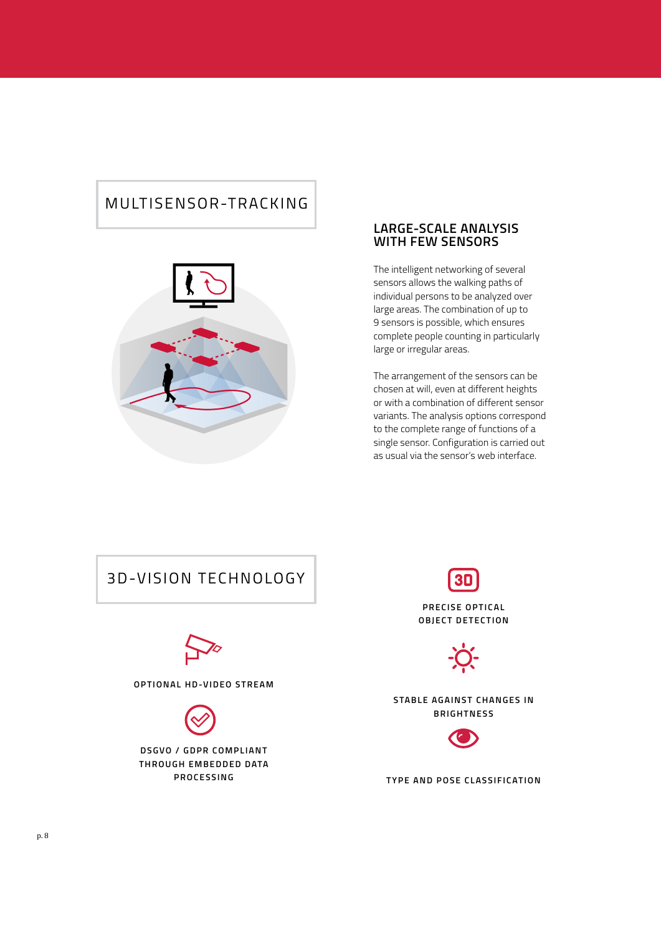## MULTISENSOR-TRACKING



#### **LARGE-SCALE ANALYSIS WITH FEW SENSORS**

The intelligent networking of several sensors allows the walking paths of individual persons to be analyzed over large areas. The combination of up to 9 sensors is possible, which ensures complete people counting in particularly large or irregular areas.

The arrangement of the sensors can be chosen at will, even at different heights or with a combination of different sensor variants. The analysis options correspond to the complete range of functions of a single sensor. Configuration is carried out as usual via the sensor's web interface.

# 3D-VISION TECHNOLOGY



**OPTIONAL HD-VIDEO STREAM**



**DSGVO / GDPR COMPLIANT T H R O U G H E M B E D D E D DATA PROCESSING**



**PRECISE OPTICAL OBJECT DETECTION**



**STABLE AGAINST CHANGES IN BRIGHTNESS**



**TYPE AND POSE CLASSIFICATION**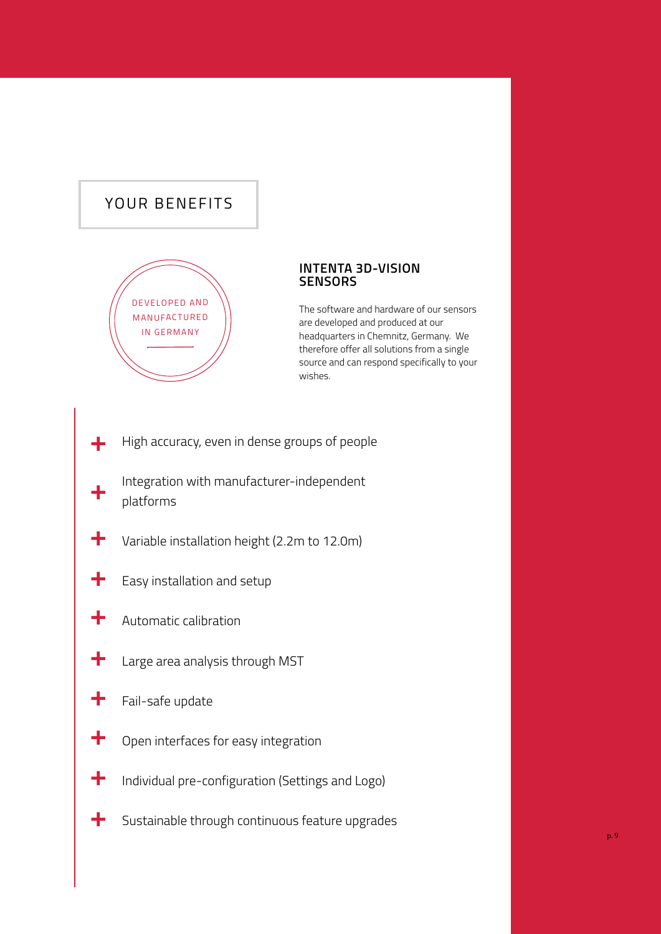## YOUR BENEFITS



#### **INTENTA 3D-VISION SENSORS**

The software and hardware of our sensors are developed and produced at our headquarters in Chemnitz, Germany. We therefore offer all solutions from a single source and can respond specifically to your wishes.

- **+** High accuracy, even in dense groups of people
- **+** Integration with manufacturer-independent platforms
- **+** Variable installation height (2.2m to 12.0m)
- **+** Easy installation and setup
- **+** Automatic calibration
- **+** Large area analysis through MST
- **+** Fail-safe update
- **+** Open interfaces for easy integration
- **+** Individual pre-configuration (Settings and Logo)
- **+** Sustainable through continuous feature upgrades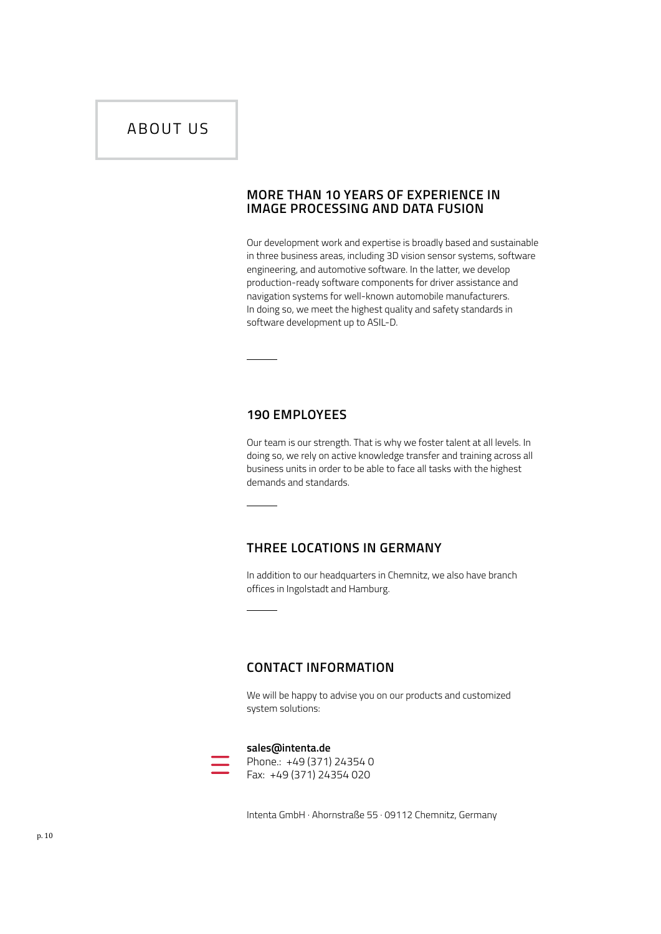## ABOUT US

#### **MORE THAN 10 YEARS OF EXPERIENCE IN IMAGE PROCESSING AND DATA FUSION**

Our development work and expertise is broadly based and sustainable in three business areas, including 3D vision sensor systems, software engineering, and automotive software. In the latter, we develop production-ready software components for driver assistance and navigation systems for well-known automobile manufacturers. In doing so, we meet the highest quality and safety standards in software development up to ASIL-D.

#### **190 EMPLOYEES**

Our team is our strength. That is why we foster talent at all levels. In doing so, we rely on active knowledge transfer and training across all business units in order to be able to face all tasks with the highest demands and standards.

#### **THREE LOCATIONS IN GERMANY**

In addition to our headquarters in Chemnitz, we also have branch offices in Ingolstadt and Hamburg.

#### **CONTACT INFORMATION**

We will be happy to advise you on our products and customized system solutions:



**sales@intenta.de**  Phone.: +49 (371) 24354 0 Fax: +49 (371) 24354 020

Intenta GmbH ∙ Ahornstraße 55 ∙ 09112 Chemnitz, Germany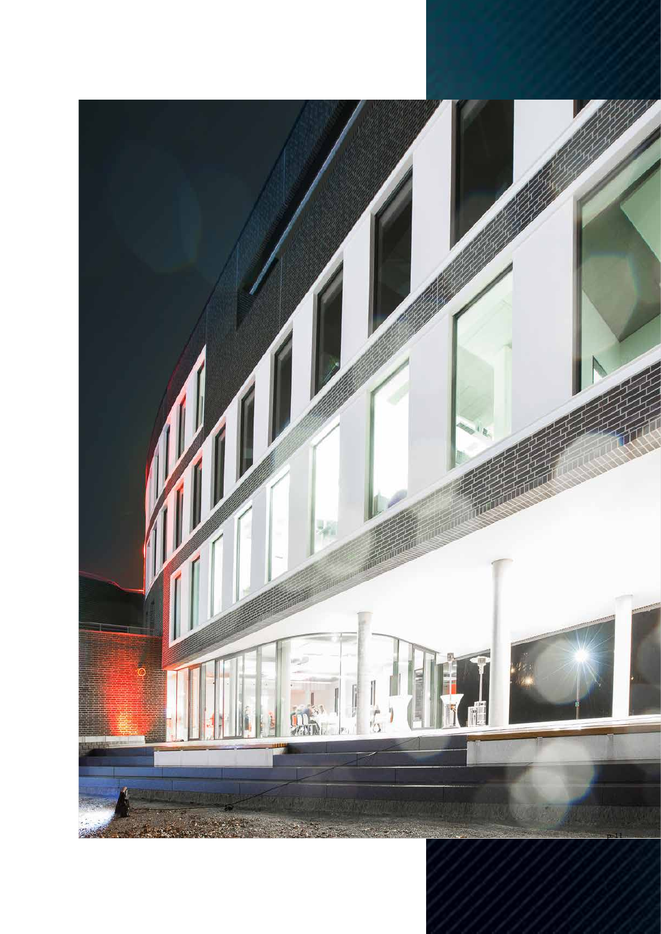